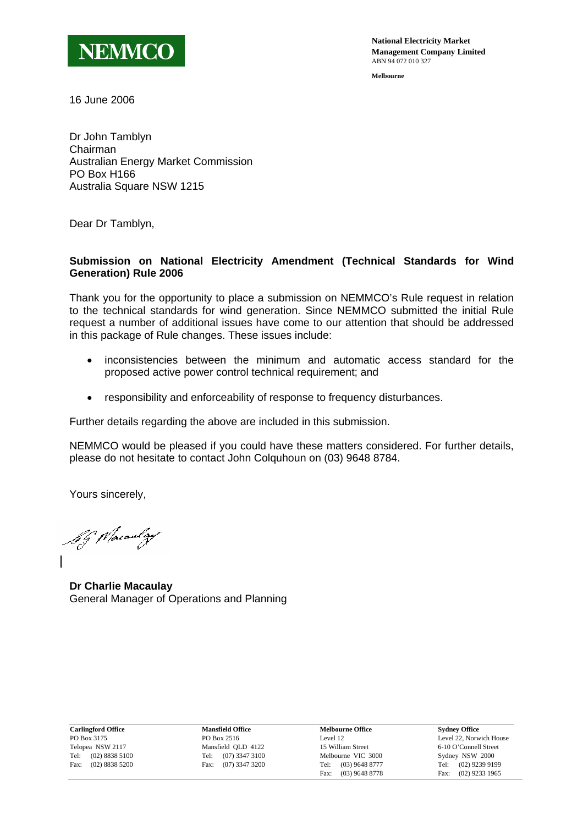

**National Electricity Market Management Company Limited** ABN 94 072 010 327

**Melbourne**

16 June 2006

Dr John Tamblyn Chairman Australian Energy Market Commission PO Box H166 Australia Square NSW 1215

Dear Dr Tamblyn,

## **Submission on National Electricity Amendment (Technical Standards for Wind Generation) Rule 2006**

Thank you for the opportunity to place a submission on NEMMCO's Rule request in relation to the technical standards for wind generation. Since NEMMCO submitted the initial Rule request a number of additional issues have come to our attention that should be addressed in this package of Rule changes. These issues include:

- inconsistencies between the minimum and automatic access standard for the proposed active power control technical requirement; and
- responsibility and enforceability of response to frequency disturbances.

Further details regarding the above are included in this submission.

NEMMCO would be pleased if you could have these matters considered. For further details, please do not hesitate to contact John Colquhoun on (03) 9648 8784.

Yours sincerely,

by Macaulay

**Dr Charlie Macaulay**  General Manager of Operations and Planning

**Carlingford Office**  PO Box 3175 Telopea NSW 2117 Tel: (02) 8838 5100 Fax: (02) 8838 5200

**Mansfield Office**  PO Box 2516 Mansfield QLD 4122 Tel: (07) 3347 3100 Fax: (07) 3347 3200

**Melbourne Office**  Level 12 15 William Street Melbourne VIC 3000 Tel: (03) 9648 8777 Fax: (03) 9648 8778 **Sydney Office**  Level 22, Norwich House 6-10 O'Connell Street Sydney NSW 2000 Tel: (02) 9239 9199 Fax: (02) 9233 1965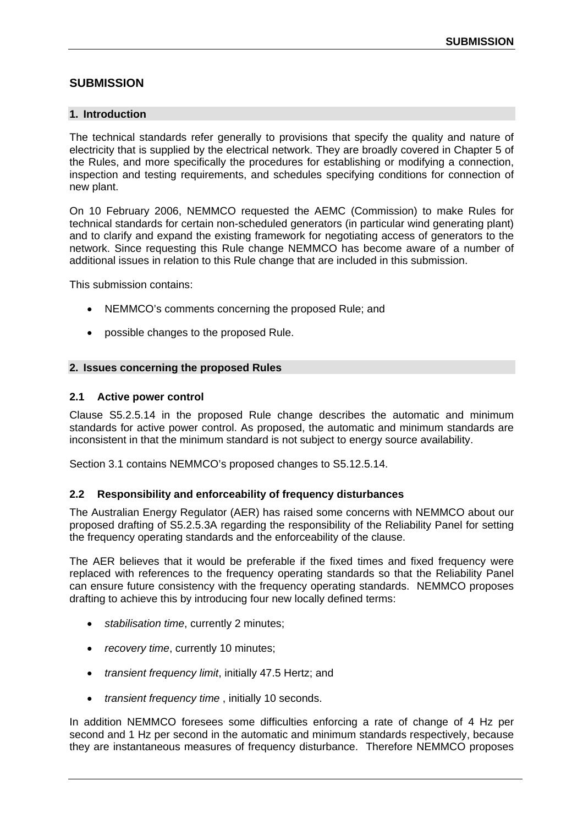# **SUBMISSION**

#### **1. Introduction**

The technical standards refer generally to provisions that specify the quality and nature of electricity that is supplied by the electrical network. They are broadly covered in Chapter 5 of the Rules, and more specifically the procedures for establishing or modifying a connection, inspection and testing requirements, and schedules specifying conditions for connection of new plant.

On 10 February 2006, NEMMCO requested the AEMC (Commission) to make Rules for technical standards for certain non-scheduled generators (in particular wind generating plant) and to clarify and expand the existing framework for negotiating access of generators to the network. Since requesting this Rule change NEMMCO has become aware of a number of additional issues in relation to this Rule change that are included in this submission.

This submission contains:

- NEMMCO's comments concerning the proposed Rule; and
- possible changes to the proposed Rule.

## **2. Issues concerning the proposed Rules**

#### **2.1 Active power control**

Clause S5.2.5.14 in the proposed Rule change describes the automatic and minimum standards for active power control. As proposed, the automatic and minimum standards are inconsistent in that the minimum standard is not subject to energy source availability.

Section 3.1 contains NEMMCO's proposed changes to S5.12.5.14.

#### **2.2 Responsibility and enforceability of frequency disturbances**

The Australian Energy Regulator (AER) has raised some concerns with NEMMCO about our proposed drafting of S5.2.5.3A regarding the responsibility of the Reliability Panel for setting the frequency operating standards and the enforceability of the clause.

The AER believes that it would be preferable if the fixed times and fixed frequency were replaced with references to the frequency operating standards so that the Reliability Panel can ensure future consistency with the frequency operating standards. NEMMCO proposes drafting to achieve this by introducing four new locally defined terms:

- *stabilisation time*, currently 2 minutes;
- *recovery time*, currently 10 minutes;
- *transient frequency limit*, initially 47.5 Hertz; and
- *transient frequency time* , initially 10 seconds.

In addition NEMMCO foresees some difficulties enforcing a rate of change of 4 Hz per second and 1 Hz per second in the automatic and minimum standards respectively, because they are instantaneous measures of frequency disturbance. Therefore NEMMCO proposes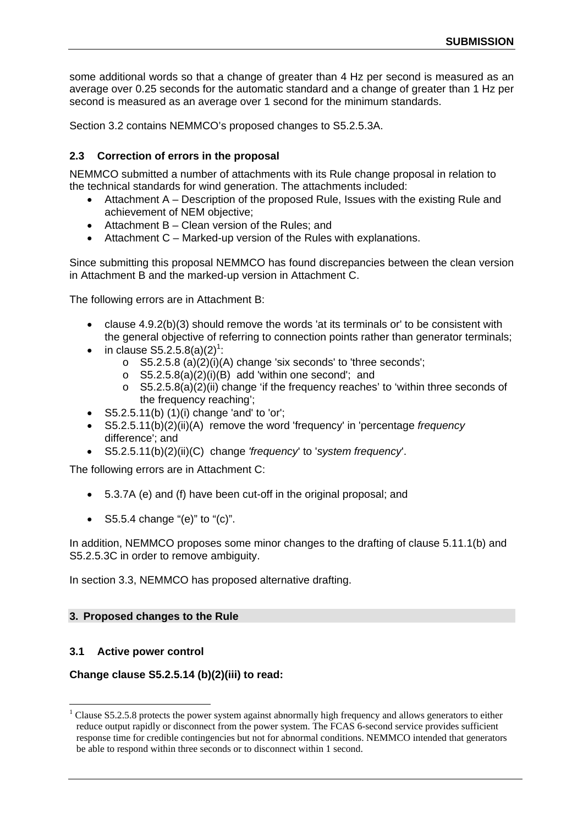some additional words so that a change of greater than 4 Hz per second is measured as an average over 0.25 seconds for the automatic standard and a change of greater than 1 Hz per second is measured as an average over 1 second for the minimum standards.

Section 3.2 contains NEMMCO's proposed changes to S5.2.5.3A.

## **2.3 Correction of errors in the proposal**

NEMMCO submitted a number of attachments with its Rule change proposal in relation to the technical standards for wind generation. The attachments included:

- Attachment A Description of the proposed Rule, Issues with the existing Rule and achievement of NEM objective;
- Attachment B Clean version of the Rules; and
- Attachment C Marked-up version of the Rules with explanations.

Since submitting this proposal NEMMCO has found discrepancies between the clean version in Attachment B and the marked-up version in Attachment C.

The following errors are in Attachment B:

- clause 4.9.2(b)(3) should remove the words 'at its terminals or' to be consistent with the general objective of referring to connection points rather than generator terminals;
- in clause  $S5.2.5.8(a)(2)^1$ :
	- o S5.2.5.8 (a)(2)(i)(A) change 'six seconds' to 'three seconds';
	- $\circ$  S5.2.5.8(a)(2)(i)(B) add 'within one second'; and
	- $\circ$  S5.2.5.8(a)(2)(ii) change 'if the frequency reaches' to 'within three seconds of the frequency reaching';
- $S5.2.5.11(b)$  (1)(i) change 'and' to 'or';
- S5.2.5.11(b)(2)(ii)(A) remove the word 'frequency' in 'percentage *frequency* difference'; and
- S5.2.5.11(b)(2)(ii)(C) change *'frequency*' to '*system frequency*'.

The following errors are in Attachment C:

- 5.3.7A (e) and (f) have been cut-off in the original proposal; and
- $S5.5.4$  change "(e)" to "(c)".

In addition, NEMMCO proposes some minor changes to the drafting of clause 5.11.1(b) and S5.2.5.3C in order to remove ambiguity.

In section 3.3, NEMMCO has proposed alternative drafting.

#### **3. Proposed changes to the Rule**

#### **3.1 Active power control**

 $\overline{a}$ 

## **Change clause S5.2.5.14 (b)(2)(iii) to read:**

<sup>&</sup>lt;sup>1</sup> Clause S5.2.5.8 protects the power system against abnormally high frequency and allows generators to either reduce output rapidly or disconnect from the power system. The FCAS 6-second service provides sufficient response time for credible contingencies but not for abnormal conditions. NEMMCO intended that generators be able to respond within three seconds or to disconnect within 1 second.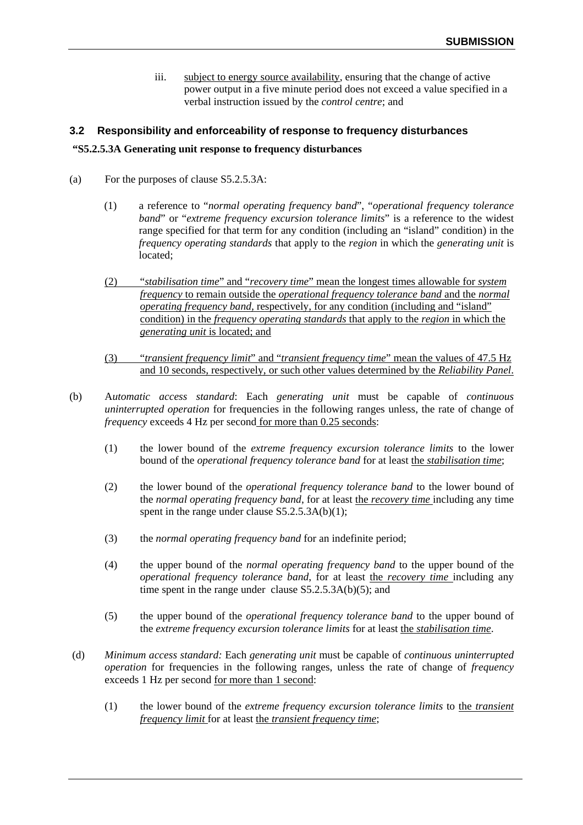iii. subject to energy source availability, ensuring that the change of active power output in a five minute period does not exceed a value specified in a verbal instruction issued by the *control centre*; and

## **3.2 Responsibility and enforceability of response to frequency disturbances**

## **"S5.2.5.3A Generating unit response to frequency disturbances**

- (a) For the purposes of clause S5.2.5.3A:
	- (1) a reference to "*normal operating frequency band*", "*operational frequency tolerance band*" or "*extreme frequency excursion tolerance limits*" is a reference to the widest range specified for that term for any condition (including an "island" condition) in the *frequency operating standards* that apply to the *region* in which the *generating unit* is located;
	- (2) "*stabilisation time*" and "*recovery time*" mean the longest times allowable for *system frequency* to remain outside the *operational frequency tolerance band* and the *normal operating frequency band,* respectively, for any condition (including and "island" condition) in the *frequency operating standards* that apply to the *region* in which the *generating unit* is located; and
	- (3) "*transient frequency limit*" and "*transient frequency time*" mean the values of 47.5 Hz and 10 seconds, respectively, or such other values determined by the *Reliability Panel*.
- (b) A*utomatic access standard*: Each *generating unit* must be capable of *continuous uninterrupted operation* for frequencies in the following ranges unless, the rate of change of *frequency* exceeds 4 Hz per second for more than 0.25 seconds:
	- (1) the lower bound of the *extreme frequency excursion tolerance limits* to the lower bound of the *operational frequency tolerance band* for at least the *stabilisation time*;
	- (2) the lower bound of the *operational frequency tolerance band* to the lower bound of the *normal operating frequency band*, for at least the *recovery time* including any time spent in the range under clause  $S5.2.5.3A(b)(1)$ ;
	- (3) the *normal operating frequency band* for an indefinite period;
	- (4) the upper bound of the *normal operating frequency band* to the upper bound of the *operational frequency tolerance band*, for at least the *recovery time* including any time spent in the range under clause S5.2.5.3A(b)(5); and
	- (5) the upper bound of the *operational frequency tolerance band* to the upper bound of the *extreme frequency excursion tolerance limits* for at least the *stabilisation time*.
- (d) *Minimum access standard:* Each *generating unit* must be capable of *continuous uninterrupted operation* for frequencies in the following ranges, unless the rate of change of *frequency*  exceeds 1 Hz per second for more than 1 second:
	- (1) the lower bound of the *extreme frequency excursion tolerance limits* to the *transient frequency limit* for at least the *transient frequency time*;